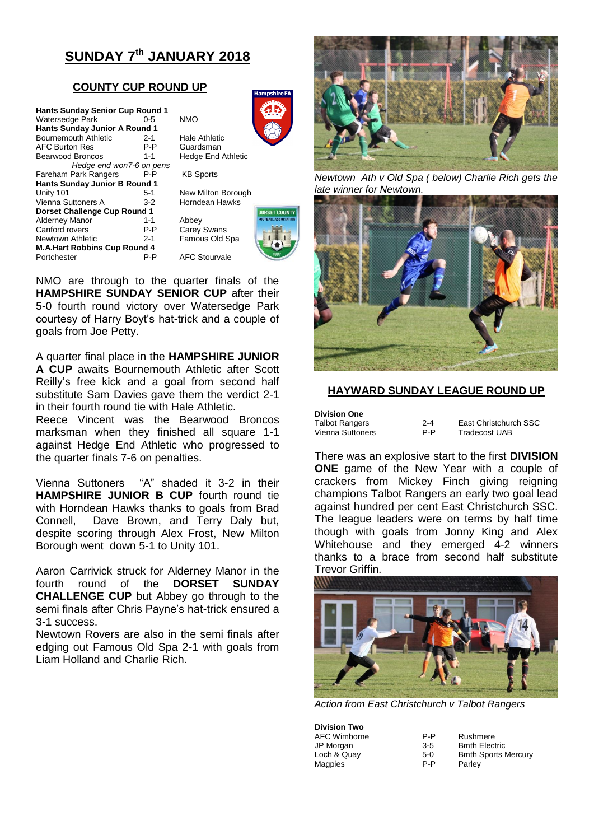# **SUNDAY 7th JANUARY 2018**

## **COUNTY CUP ROUND UP**

| <b>Hants Sunday Senior Cup Round 1</b> |         |            |
|----------------------------------------|---------|------------|
| Watersedge Park                        | $0 - 5$ | <b>NMO</b> |
| <b>Hants Sunday Junior A Round 1</b>   |         |            |
| Bournemouth Athletic                   | $2 - 1$ | Hale       |
| <b>AFC Burton Res</b>                  | P-P     | Guar       |
| <b>Bearwood Broncos</b>                | $1 - 1$ | Hedo       |
| Hedge end won7-6 on pens               |         |            |
| Fareham Park Rangers                   | P-P     | KB S       |
| <b>Hants Sunday Junior B Round 1</b>   |         |            |
| Unity 101                              | 5-1     | New        |
| Vienna Suttoners A                     | $3-2$   | Horn       |
| Dorset Challenge Cup Round 1           |         |            |
| <b>Alderney Manor</b>                  | $1 - 1$ | Abbe       |
| Canford rovers                         | P-P     | Care       |
| Newtown Athletic                       | $2 - 1$ | Famo       |
| <b>M.A.Hart Robbins Cup Round 4</b>    |         |            |
| Portchester                            | P-P     | AFC        |



Hale Athletic Guardsman Hedge End Athletic

**KB Sports** 

New Milton Borough Horndean Hawks

Abbey Carey Swans Famous Old Spa **AFC Stourvale** 



NMO are through to the quarter finals of the **HAMPSHIRE SUNDAY SENIOR CUP** after their 5-0 fourth round victory over Watersedge Park courtesy of Harry Boyt's hat-trick and a couple of goals from Joe Petty.

A quarter final place in the **HAMPSHIRE JUNIOR A CUP** awaits Bournemouth Athletic after Scott Reilly's free kick and a goal from second half substitute Sam Davies gave them the verdict 2-1 in their fourth round tie with Hale Athletic.

Reece Vincent was the Bearwood Broncos marksman when they finished all square 1-1 against Hedge End Athletic who progressed to the quarter finals 7-6 on penalties.

Vienna Suttoners "A" shaded it 3-2 in their **HAMPSHIRE JUNIOR B CUP** fourth round tie with Horndean Hawks thanks to goals from Brad Connell, Dave Brown, and Terry Daly but, despite scoring through Alex Frost, New Milton Borough went down 5-1 to Unity 101.

Aaron Carrivick struck for Alderney Manor in the fourth round of the **DORSET SUNDAY CHALLENGE CUP** but Abbey go through to the semi finals after Chris Payne's hat-trick ensured a 3-1 success.

Newtown Rovers are also in the semi finals after edging out Famous Old Spa 2-1 with goals from Liam Holland and Charlie Rich.



*Newtown Ath v Old Spa ( below) Charlie Rich gets the late winner for Newtown.*



## **HAYWARD SUNDAY LEAGUE ROUND UP**

| <b>Division One</b>   |         |                       |
|-----------------------|---------|-----------------------|
| <b>Talbot Rangers</b> | $2 - 4$ | East Christchurch SSC |
| Vienna Suttoners      | P-P     | Tradecost UAB         |

There was an explosive start to the first **DIVISION ONE** game of the New Year with a couple of crackers from Mickey Finch giving reigning champions Talbot Rangers an early two goal lead against hundred per cent East Christchurch SSC. The league leaders were on terms by half time though with goals from Jonny King and Alex Whitehouse and they emerged 4-2 winners thanks to a brace from second half substitute Trevor Griffin.



*Action from East Christchurch v Talbot Rangers*

| <b>Division Two</b> |         |                            |
|---------------------|---------|----------------------------|
| AFC Wimborne        | P-P     | Rushmere                   |
| JP Morgan           | $3 - 5$ | <b>Bmth Electric</b>       |
| Loch & Quay         | $5-0$   | <b>Bmth Sports Mercury</b> |
| Magpies             | P-P     | Parley                     |